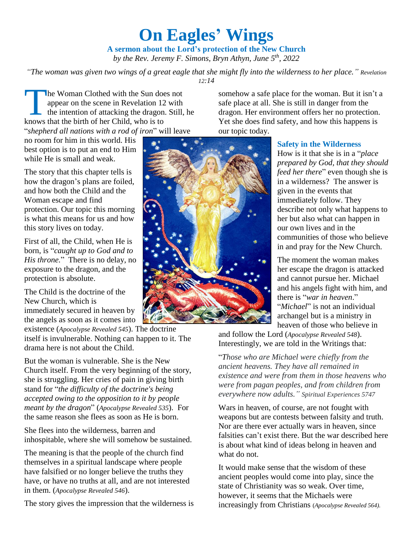# **On Eagles' Wings**

**A sermon about the Lord's protection of the New Church** *by the Rev. Jeremy F. Simons, Bryn Athyn, June 5 th, 2022*

*"The woman was given two wings of a great eagle that she might fly into the wilderness to her place." Revelation 12:14*

he Woman Clothed with the Sun does not appear on the scene in Revelation 12 with the intention of attacking the dragon. Still, he The Woman Clothed with the Sun does<br>appear on the scene in Revelation 12<br>the intention of attacking the dragon.<br>knows that the birth of her Child, who is to "*shepherd all nations with a rod of iron*" will leave

no room for him in this world. His best option is to put an end to Him while He is small and weak.

The story that this chapter tells is how the dragon's plans are foiled, and how both the Child and the Woman escape and find protection. Our topic this morning is what this means for us and how this story lives on today.

First of all, the Child, when He is born, is "*caught up to God and to His throne.*" There is no delay, no exposure to the dragon, and the protection is absolute.

The Child is the doctrine of the New Church, which is immediately secured in heaven by the angels as soon as it comes into

existence (*Apocalypse Revealed 545*). The doctrine itself is invulnerable. Nothing can happen to it. The drama here is not about the Child.

But the woman is vulnerable. She is the New Church itself. From the very beginning of the story, she is struggling. Her cries of pain in giving birth stand for "*the difficulty of the doctrine's being accepted owing to the opposition to it by people meant by the dragon*" (*Apocalypse Revealed 535*). For the same reason she flees as soon as He is born.

She flees into the wilderness, barren and inhospitable, where she will somehow be sustained.

The meaning is that the people of the church find themselves in a spiritual landscape where people have falsified or no longer believe the truths they have, or have no truths at all, and are not interested in them. (*Apocalypse Revealed 546*).

The story gives the impression that the wilderness is

our topic today.

## **Safety in the Wilderness**

somehow a safe place for the woman. But it isn't a safe place at all. She is still in danger from the dragon. Her environment offers her no protection. Yet she does find safety, and how this happens is

> How is it that she is in a "*place prepared by God, that they should feed her there*" even though she is in a wilderness? The answer is given in the events that immediately follow. They describe not only what happens to her but also what can happen in our own lives and in the communities of those who believe in and pray for the New Church.

The moment the woman makes her escape the dragon is attacked and cannot pursue her. Michael and his angels fight with him, and there is "*war in heaven*." "*Michael*" is not an individual archangel but is a ministry in heaven of those who believe in

and follow the Lord (*Apocalypse Revealed 548*). Interestingly, we are told in the Writings that:

"*Those who are Michael were chiefly from the ancient heavens. They have all remained in existence and were from them in those heavens who were from pagan peoples, and from children from everywhere now adults." Spiritual Experiences 5747*

Wars in heaven, of course, are not fought with weapons but are contests between falsity and truth. Nor are there ever actually wars in heaven, since falsities can't exist there. But the war described here is about what kind of ideas belong in heaven and what do not.

It would make sense that the wisdom of these ancient peoples would come into play, since the state of Christianity was so weak. Over time, however, it seems that the Michaels were increasingly from Christians (*Apocalypse Revealed 564).*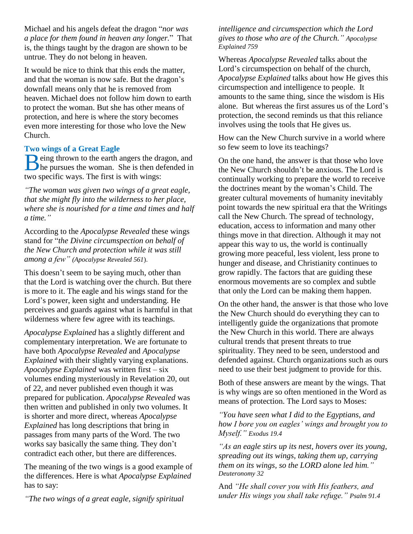Michael and his angels defeat the dragon "*nor was a place for them found in heaven any longer.*" That is, the things taught by the dragon are shown to be untrue. They do not belong in heaven.

It would be nice to think that this ends the matter, and that the woman is now safe. But the dragon's downfall means only that he is removed from heaven. Michael does not follow him down to earth to protect the woman. But she has other means of protection, and here is where the story becomes even more interesting for those who love the New Church.

## **Two wings of a Great Eagle**

eing thrown to the earth angers the dragon, and Being thrown to the earth angers the dragon, and<br>the pursues the woman. She is then defended in two specific ways. The first is with wings:

*"The woman was given two wings of a great eagle, that she might fly into the wilderness to her place, where she is nourished for a time and times and half a time."*

According to the *Apocalypse Revealed* these wings stand for "*the Divine circumspection on behalf of the New Church and protection while it was still among a few" (Apocalypse Revealed 561*).

This doesn't seem to be saying much, other than that the Lord is watching over the church. But there is more to it. The eagle and his wings stand for the Lord's power, keen sight and understanding. He perceives and guards against what is harmful in that wilderness where few agree with its teachings.

*Apocalypse Explained* has a slightly different and complementary interpretation. We are fortunate to have both *Apocalypse Revealed* and *Apocalypse Explained* with their slightly varying explanations. *Apocalypse Explained* was written first – six volumes ending mysteriously in Revelation 20, out of 22, and never published even though it was prepared for publication. *Apocalypse Revealed* was then written and published in only two volumes. It is shorter and more direct, whereas *Apocalypse Explained* has long descriptions that bring in passages from many parts of the Word. The two works say basically the same thing. They don't contradict each other, but there are differences.

The meaning of the two wings is a good example of the differences. Here is what *Apocalypse Explained* has to say:

*"The two wings of a great eagle, signify spiritual* 

*intelligence and circumspection which the Lord gives to those who are of the Church." Apocalypse Explained 759*

Whereas *Apocalypse Revealed* talks about the Lord's circumspection on behalf of the church, *Apocalypse Explained* talks about how He gives this circumspection and intelligence to people. It amounts to the same thing, since the wisdom is His alone. But whereas the first assures us of the Lord's protection, the second reminds us that this reliance involves using the tools that He gives us.

How can the New Church survive in a world where so few seem to love its teachings?

On the one hand, the answer is that those who love the New Church shouldn't be anxious. The Lord is continually working to prepare the world to receive the doctrines meant by the woman's Child. The greater cultural movements of humanity inevitably point towards the new spiritual era that the Writings call the New Church. The spread of technology, education, access to information and many other things move in that direction. Although it may not appear this way to us, the world is continually growing more peaceful, less violent, less prone to hunger and disease, and Christianity continues to grow rapidly. The factors that are guiding these enormous movements are so complex and subtle that only the Lord can be making them happen.

On the other hand, the answer is that those who love the New Church should do everything they can to intelligently guide the organizations that promote the New Church in this world. There are always cultural trends that present threats to true spirituality. They need to be seen, understood and defended against. Church organizations such as ours need to use their best judgment to provide for this.

Both of these answers are meant by the wings. That is why wings are so often mentioned in the Word as means of protection. The Lord says to Moses:

*"You have seen what I did to the Egyptians, and how I bore you on eagles' wings and brought you to Myself." Exodus 19.4*

*"As an eagle stirs up its nest, hovers over its young, spreading out its wings, taking them up, carrying them on its wings, so the LORD alone led him." Deuteronomy 32*

And *"He shall cover you with His feathers, and under His wings you shall take refuge." Psalm 91.4*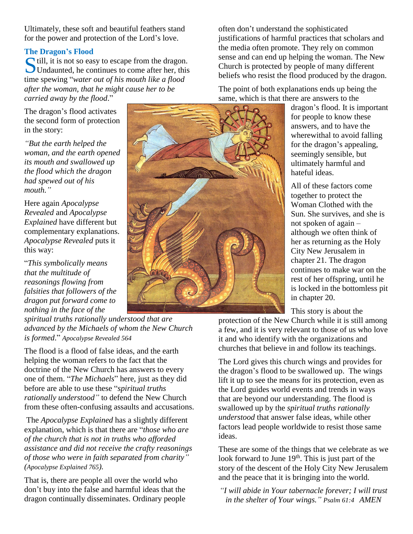Ultimately, these soft and beautiful feathers stand for the power and protection of the Lord's love.

## **The Dragon's Flood**

Still, it is not so easy to escape from the dragon.<br>Undaunted, he continues to come after her, this Undaunted, he continues to come after her, this time spewing "*water out of his mouth like a flood after the woman, that he might cause her to be carried away by the flood*."

The dragon's flood activates the second form of protection in the story:

*"But the earth helped the woman, and the earth opened its mouth and swallowed up the flood which the dragon had spewed out of his mouth."*

Here again *Apocalypse Revealed* and *Apocalypse Explained* have different but complementary explanations. *Apocalypse Revealed* puts it this way:

"*This symbolically means that the multitude of reasonings flowing from falsities that followers of the dragon put forward come to nothing in the face of the* 

*spiritual truths rationally understood that are advanced by the Michaels of whom the New Church is formed*." *Apocalypse Revealed 564*

The flood is a flood of false ideas, and the earth helping the woman refers to the fact that the doctrine of the New Church has answers to every one of them. "*The Michaels*" here, just as they did before are able to use these "*spiritual truths rationally understood"* to defend the New Church from these often-confusing assaults and accusations.

The *Apocalypse Explained* has a slightly different explanation, which is that there are "*those who are of the church that is not in truths who afforded assistance and did not receive the crafty reasonings of those who were in faith separated from charity" (Apocalypse Explained 765).*

That is, there are people all over the world who don't buy into the false and harmful ideas that the dragon continually disseminates. Ordinary people

often don't understand the sophisticated justifications of harmful practices that scholars and the media often promote. They rely on common sense and can end up helping the woman. The New Church is protected by people of many different beliefs who resist the flood produced by the dragon.

The point of both explanations ends up being the same, which is that there are answers to the

dragon's flood. It is important for people to know these answers, and to have the wherewithal to avoid falling for the dragon's appealing, seemingly sensible, but ultimately harmful and hateful ideas.

All of these factors come together to protect the Woman Clothed with the Sun. She survives, and she is not spoken of again – although we often think of her as returning as the Holy City New Jerusalem in chapter 21. The dragon continues to make war on the rest of her offspring, until he is locked in the bottomless pit in chapter 20.

This story is about the

protection of the New Church while it is still among a few, and it is very relevant to those of us who love it and who identify with the organizations and churches that believe in and follow its teachings.

The Lord gives this church wings and provides for the dragon's flood to be swallowed up. The wings lift it up to see the means for its protection, even as the Lord guides world events and trends in ways that are beyond our understanding. The flood is swallowed up by the *spiritual truths rationally understood* that answer false ideas, while other factors lead people worldwide to resist those same ideas.

These are some of the things that we celebrate as we look forward to June  $19<sup>th</sup>$ . This is just part of the story of the descent of the Holy City New Jerusalem and the peace that it is bringing into the world.

*"I will abide in Your tabernacle forever; I will trust in the shelter of Your wings." [Psalm 61:4](http://www.biblegateway.com/passage/?book_id=23&chapter=61&verse=4&version=50&context=verse) AMEN*